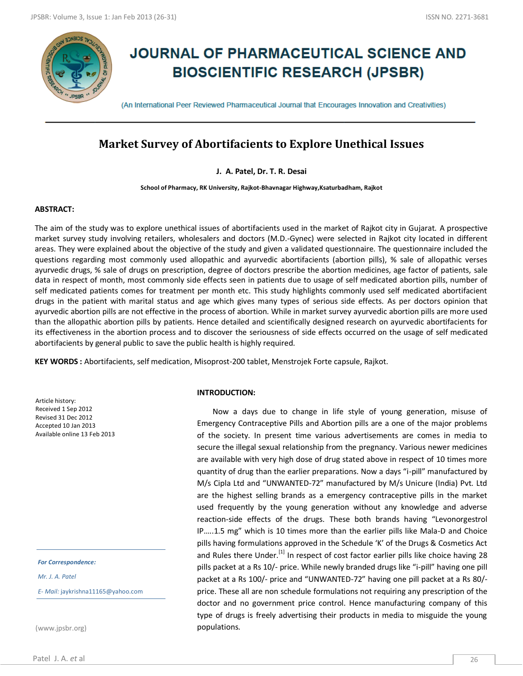

# **JOURNAL OF PHARMACEUTICAL SCIENCE AND BIOSCIENTIFIC RESEARCH (JPSBR)**

(An International Peer Reviewed Pharmaceutical Journal that Encourages Innovation and Creativities)

# **Market Survey of Abortifacients to Explore Unethical Issues**

**J. A. Patel, Dr. T. R. Desai**

**School of Pharmacy, RK University, Rajkot-Bhavnagar Highway,Ksaturbadham, Rajkot**

#### **ABSTRACT:**

The aim of the study was to explore unethical issues of abortifacients used in the market of Rajkot city in Gujarat. A prospective market survey study involving retailers, wholesalers and doctors (M.D.-Gynec) were selected in Rajkot city located in different areas. They were explained about the objective of the study and given a validated questionnaire. The questionnaire included the questions regarding most commonly used allopathic and ayurvedic abortifacients (abortion pills), % sale of allopathic verses ayurvedic drugs, % sale of drugs on prescription, degree of doctors prescribe the abortion medicines, age factor of patients, sale data in respect of month, most commonly side effects seen in patients due to usage of self medicated abortion pills, number of self medicated patients comes for treatment per month etc. This study highlights commonly used self medicated abortifacient drugs in the patient with marital status and age which gives many types of serious side effects. As per doctors opinion that ayurvedic abortion pills are not effective in the process of abortion. While in market survey ayurvedic abortion pills are more used than the allopathic abortion pills by patients. Hence detailed and scientifically designed research on ayurvedic abortifacients for its effectiveness in the abortion process and to discover the seriousness of side effects occurred on the usage of self medicated abortifacients by general public to save the public health is highly required.

**KEY WORDS :** Abortifacients, self medication, Misoprost-200 tablet, Menstrojek Forte capsule, Rajkot.

Article history: Received 1 Sep 2012 Revised 31 Dec 2012 Accepted 10 Jan 2013 Available online 13 Feb 2013

*For Correspondence:*

*Mr. J. A. Patel*

*E- Mail:* jaykrishna11165@yahoo.com

(www.jpsbr.org)

#### **INTRODUCTION:**

 Now a days due to change in life style of young generation, misuse of Emergency Contraceptive Pills and Abortion pills are a one of the major problems of the society. In present time various advertisements are comes in media to secure the illegal sexual relationship from the pregnancy. Various newer medicines are available with very high dose of drug stated above in respect of 10 times more quantity of drug than the earlier preparations. Now a days "i-pill" manufactured by M/s Cipla Ltd and "UNWANTED-72" manufactured by M/s Unicure (India) Pvt. Ltd are the highest selling brands as a emergency contraceptive pills in the market used frequently by the young generation without any knowledge and adverse reaction-side effects of the drugs. These both brands having "Levonorgestrol IP…..1.5 mg" which is 10 times more than the earlier pills like Mala-D and Choice pills having formulations approved in the Schedule 'K' of the Drugs & Cosmetics Act and Rules there Under.<sup>[1]</sup> In respect of cost factor earlier pills like choice having 28 pills packet at a Rs 10/- price. While newly branded drugs like "i-pill" having one pill packet at a Rs 100/- price and "UNWANTED-72" having one pill packet at a Rs 80/ price. These all are non schedule formulations not requiring any prescription of the doctor and no government price control. Hence manufacturing company of this type of drugs is freely advertising their products in media to misguide the young populations.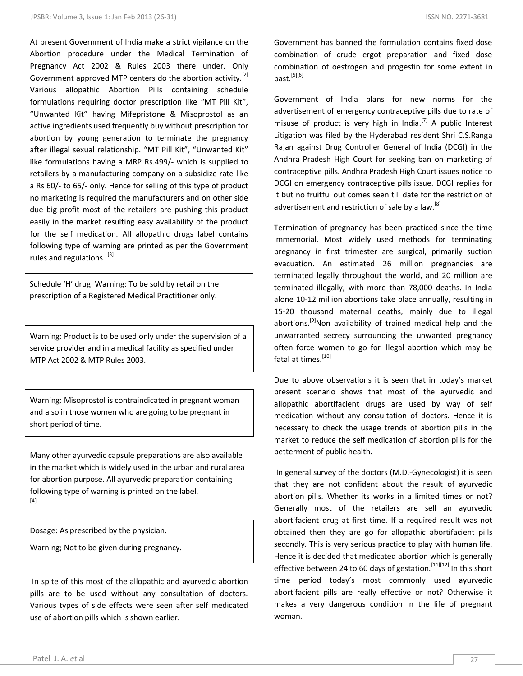At present Government of India make a strict vigilance on the Abortion procedure under the Medical Termination of Pregnancy Act 2002 & Rules 2003 there under. Only Government approved MTP centers do the abortion activity.<sup>[2]</sup> Various allopathic Abortion Pills containing schedule formulations requiring doctor prescription like "MT Pill Kit", "Unwanted Kit" having Mifepristone & Misoprostol as an active ingredients used frequently buy without prescription for abortion by young generation to terminate the pregnancy after illegal sexual relationship. "MT Pill Kit", "Unwanted Kit" like formulations having a MRP Rs.499/- which is supplied to retailers by a manufacturing company on a subsidize rate like a Rs 60/- to 65/- only. Hence for selling of this type of product no marketing is required the manufacturers and on other side due big profit most of the retailers are pushing this product easily in the market resulting easy availability of the product for the self medication. All allopathic drugs label contains following type of warning are printed as per the Government rules and regulations. [3]

Schedule 'H' drug: Warning: To be sold by retail on the prescription of a Registered Medical Practitioner only.

Warning: Product is to be used only under the supervision of a service provider and in a medical facility as specified under MTP Act 2002 & MTP Rules 2003.

Warning: Misoprostol is contraindicated in pregnant woman and also in those women who are going to be pregnant in short period of time.

Many other ayurvedic capsule preparations are also available in the market which is widely used in the urban and rural area for abortion purpose. All ayurvedic preparation containing following type of warning is printed on the label. [4]

Dosage: As prescribed by the physician.

Warning; Not to be given during pregnancy.

In spite of this most of the allopathic and ayurvedic abortion pills are to be used without any consultation of doctors. Various types of side effects were seen after self medicated use of abortion pills which is shown earlier.

Government has banned the formulation contains fixed dose combination of crude ergot preparation and fixed dose combination of oestrogen and progestin for some extent in past.<sup>[5][6]</sup>

Government of India plans for new norms for the advertisement of emergency contraceptive pills due to rate of misuse of product is very high in India.<sup>[7]</sup> A public Interest Litigation was filed by the Hyderabad resident Shri C.S.Ranga Rajan against Drug Controller General of India (DCGI) in the Andhra Pradesh High Court for seeking ban on marketing of contraceptive pills. Andhra Pradesh High Court issues notice to DCGI on emergency contraceptive pills issue. DCGI replies for it but no fruitful out comes seen till date for the restriction of advertisement and restriction of sale by a law.<sup>[8]</sup>

Termination of pregnancy has been practiced since the time immemorial. Most widely used methods for terminating pregnancy in first trimester are surgical, primarily suction evacuation. An estimated 26 million pregnancies are terminated legally throughout the world, and 20 million are terminated illegally, with more than 78,000 deaths. In India alone 10-12 million abortions take place annually, resulting in 15-20 thousand maternal deaths, mainly due to illegal abortions.<sup>[9]</sup>Non availability of trained medical help and the unwarranted secrecy surrounding the unwanted pregnancy often force women to go for illegal abortion which may be fatal at times $[10]$ 

Due to above observations it is seen that in today's market present scenario shows that most of the ayurvedic and allopathic abortifacient drugs are used by way of self medication without any consultation of doctors. Hence it is necessary to check the usage trends of abortion pills in the market to reduce the self medication of abortion pills for the betterment of public health.

In general survey of the doctors (M.D.-Gynecologist) it is seen that they are not confident about the result of ayurvedic abortion pills. Whether its works in a limited times or not? Generally most of the retailers are sell an ayurvedic abortifacient drug at first time. If a required result was not obtained then they are go for allopathic abortifacient pills secondly. This is very serious practice to play with human life. Hence it is decided that medicated abortion which is generally effective between 24 to 60 days of gestation.  $[11][12]$  In this short time period today's most commonly used ayurvedic abortifacient pills are really effective or not? Otherwise it makes a very dangerous condition in the life of pregnant woman.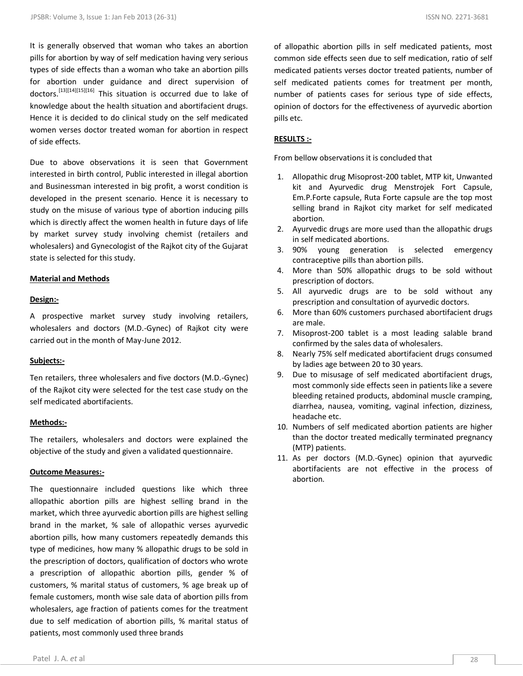It is generally observed that woman who takes an abortion pills for abortion by way of self medication having very serious types of side effects than a woman who take an abortion pills for abortion under guidance and direct supervision of doctors.[13][14][15][16] This situation is occurred due to lake of knowledge about the health situation and abortifacient drugs. Hence it is decided to do clinical study on the self medicated women verses doctor treated woman for abortion in respect of side effects.

Due to above observations it is seen that Government interested in birth control, Public interested in illegal abortion and Businessman interested in big profit, a worst condition is developed in the present scenario. Hence it is necessary to study on the misuse of various type of abortion inducing pills which is directly affect the women health in future days of life by market survey study involving chemist (retailers and wholesalers) and Gynecologist of the Rajkot city of the Gujarat state is selected for this study.

#### **Material and Methods**

#### **Design:-**

A prospective market survey study involving retailers, wholesalers and doctors (M.D.-Gynec) of Rajkot city were carried out in the month of May-June 2012.

#### **Subjects:-**

Ten retailers, three wholesalers and five doctors (M.D.-Gynec) of the Rajkot city were selected for the test case study on the self medicated abortifacients.

#### **Methods:-**

The retailers, wholesalers and doctors were explained the objective of the study and given a validated questionnaire.

#### **Outcome Measures:-**

The questionnaire included questions like which three allopathic abortion pills are highest selling brand in the market, which three ayurvedic abortion pills are highest selling brand in the market, % sale of allopathic verses ayurvedic abortion pills, how many customers repeatedly demands this type of medicines, how many % allopathic drugs to be sold in the prescription of doctors, qualification of doctors who wrote a prescription of allopathic abortion pills, gender % of customers, % marital status of customers, % age break up of female customers, month wise sale data of abortion pills from wholesalers, age fraction of patients comes for the treatment due to self medication of abortion pills, % marital status of patients, most commonly used three brands

of allopathic abortion pills in self medicated patients, most common side effects seen due to self medication, ratio of self medicated patients verses doctor treated patients, number of self medicated patients comes for treatment per month, number of patients cases for serious type of side effects, opinion of doctors for the effectiveness of ayurvedic abortion pills etc.

#### **RESULTS :-**

From bellow observations it is concluded that

- 1. Allopathic drug Misoprost-200 tablet, MTP kit, Unwanted kit and Ayurvedic drug Menstrojek Fort Capsule, Em.P.Forte capsule, Ruta Forte capsule are the top most selling brand in Rajkot city market for self medicated abortion.
- 2. Ayurvedic drugs are more used than the allopathic drugs in self medicated abortions.
- 3. 90% young generation is selected emergency contraceptive pills than abortion pills.
- 4. More than 50% allopathic drugs to be sold without prescription of doctors.
- 5. All ayurvedic drugs are to be sold without any prescription and consultation of ayurvedic doctors.
- 6. More than 60% customers purchased abortifacient drugs are male.
- 7. Misoprost-200 tablet is a most leading salable brand confirmed by the sales data of wholesalers.
- 8. Nearly 75% self medicated abortifacient drugs consumed by ladies age between 20 to 30 years.
- 9. Due to misusage of self medicated abortifacient drugs, most commonly side effects seen in patients like a severe bleeding retained products, abdominal muscle cramping, diarrhea, nausea, vomiting, vaginal infection, dizziness, headache etc.
- 10. Numbers of self medicated abortion patients are higher than the doctor treated medically terminated pregnancy (MTP) patients.
- 11. As per doctors (M.D.-Gynec) opinion that ayurvedic abortifacients are not effective in the process of abortion.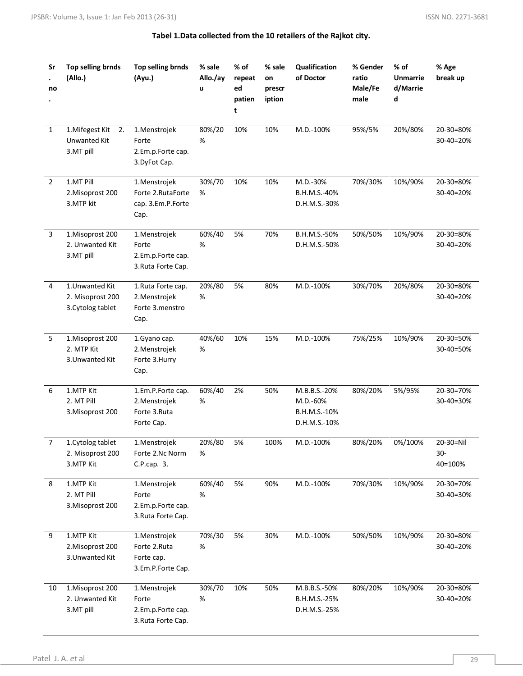| Sr<br>no       | Top selling brnds<br>(Allo.)                             | Top selling brnds<br>(Ayu.)                                       | % sale<br>Allo./ay<br>u | $%$ of<br>repeat<br>ed<br>patien<br>t | % sale<br>on<br>prescr<br>iption | Qualification<br>of Doctor                               | % Gender<br>ratio<br>Male/Fe<br>male | $%$ of<br><b>Unmarrie</b><br>d/Marrie<br>d | % Age<br>break up           |
|----------------|----------------------------------------------------------|-------------------------------------------------------------------|-------------------------|---------------------------------------|----------------------------------|----------------------------------------------------------|--------------------------------------|--------------------------------------------|-----------------------------|
| $\mathbf 1$    | 1. Mifegest Kit<br>2.<br>Unwanted Kit<br>3.MT pill       | 1.Menstrojek<br>Forte<br>2.Em.p.Forte cap.<br>3.DyFot Cap.        | 80%/20<br>%             | 10%                                   | 10%                              | $M.D.-100%$                                              | 95%/5%                               | 20%/80%                                    | 20-30=80%<br>30-40=20%      |
| $\overline{2}$ | 1.MT Pill<br>2. Misoprost 200<br>3.MTP kit               | 1.Menstrojek<br>Forte 2.RutaForte<br>cap. 3.Em.P.Forte<br>Cap.    | 30%/70<br>%             | 10%                                   | 10%                              | M.D.-30%<br>B.H.M.S.-40%<br>D.H.M.S.-30%                 | 70%/30%                              | 10%/90%                                    | 20-30=80%<br>30-40=20%      |
| 3              | 1.Misoprost 200<br>2. Unwanted Kit<br>3.MT pill          | 1.Menstrojek<br>Forte<br>2.Em.p.Forte cap.<br>3. Ruta Forte Cap.  | 60%/40<br>%             | 5%                                    | 70%                              | B.H.M.S.-50%<br>D.H.M.S.-50%                             | 50%/50%                              | 10%/90%                                    | 20-30=80%<br>30-40=20%      |
| 4              | 1. Unwanted Kit<br>2. Misoprost 200<br>3. Cytolog tablet | 1.Ruta Forte cap.<br>2. Menstrojek<br>Forte 3.menstro<br>Cap.     | 20%/80<br>%             | 5%                                    | 80%                              | M.D.-100%                                                | 30%/70%                              | 20%/80%                                    | 20-30=80%<br>30-40=20%      |
| 5              | 1.Misoprost 200<br>2. MTP Kit<br>3. Unwanted Kit         | 1. Gyano cap.<br>2. Menstrojek<br>Forte 3. Hurry<br>Cap.          | 40%/60<br>%             | 10%                                   | 15%                              | M.D.-100%                                                | 75%/25%                              | 10%/90%                                    | 20-30=50%<br>30-40=50%      |
| 6              | 1.MTP Kit<br>2. MT Pill<br>3. Misoprost 200              | 1.Em.P.Forte cap.<br>2. Menstrojek<br>Forte 3.Ruta<br>Forte Cap.  | 60%/40<br>%             | 2%                                    | 50%                              | M.B.B.S.-20%<br>M.D.-60%<br>B.H.M.S.-10%<br>D.H.M.S.-10% | 80%/20%                              | 5%/95%                                     | 20-30=70%<br>30-40=30%      |
|                | 1. Cytolog tablet<br>2. Misoprost 200<br>3.MTP Kit       | 1.Menstrojek<br>Forte 2.Nc Norm<br>C.P.cap. 3.                    | 20%/80<br>%             | 5%                                    | 100%                             | M.D.-100%                                                | 80%/20%                              | 0%/100%                                    | 20-30=Nil<br>30-<br>40=100% |
| 8              | 1.MTP Kit<br>2. MT Pill<br>3. Misoprost 200              | 1.Menstrojek<br>Forte<br>2.Em.p.Forte cap.<br>3. Ruta Forte Cap.  | 60%/40<br>%             | 5%                                    | 90%                              | M.D.-100%                                                | 70%/30%                              | 10%/90%                                    | 20-30=70%<br>30-40=30%      |
| 9              | 1.MTP Kit<br>2. Misoprost 200<br>3. Unwanted Kit         | 1.Menstrojek<br>Forte 2.Ruta<br>Forte cap.<br>3.Em.P.Forte Cap.   | 70%/30<br>%             | 5%                                    | 30%                              | M.D.-100%                                                | 50%/50%                              | 10%/90%                                    | 20-30=80%<br>30-40=20%      |
| 10             | 1.Misoprost 200<br>2. Unwanted Kit<br>3.MT pill          | 1. Menstrojek<br>Forte<br>2.Em.p.Forte cap.<br>3. Ruta Forte Cap. | 30%/70<br>%             | 10%                                   | 50%                              | M.B.B.S.-50%<br>B.H.M.S.-25%<br>D.H.M.S.-25%             | 80%/20%                              | 10%/90%                                    | 20-30=80%<br>30-40=20%      |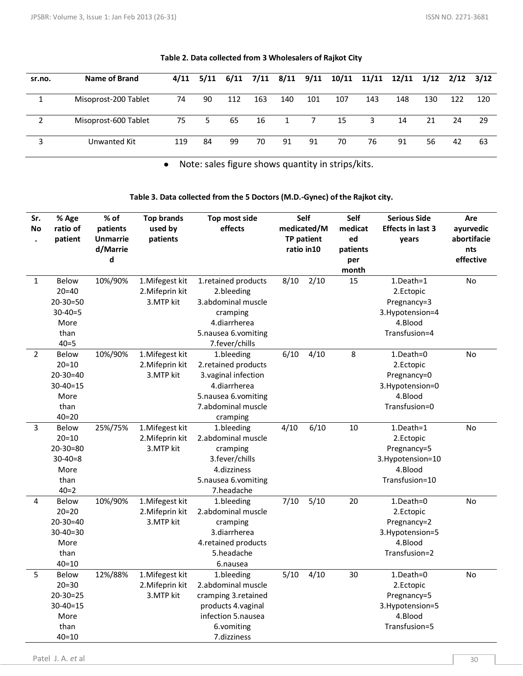| sr.no. | Name of Brand        |     |      |     |     |              |                | 4/11 5/11 6/11 7/11 8/11 9/11 10/11 11/11 12/11 1/12 2/12 3/12 |     |     |     |     |     |
|--------|----------------------|-----|------|-----|-----|--------------|----------------|----------------------------------------------------------------|-----|-----|-----|-----|-----|
|        |                      |     |      |     |     |              |                |                                                                |     |     |     |     |     |
|        | Misoprost-200 Tablet | 74  | 90   | 112 | 163 | 140          | 101            | 107                                                            | 143 | 148 | 130 | 122 | 120 |
|        |                      |     |      |     |     |              |                |                                                                |     |     |     |     |     |
|        | Misoprost-600 Tablet |     | 75 5 | 65  | 16  | $\mathbf{1}$ | $\overline{7}$ | 15                                                             | 3   | 14  | 21  | 24  | 29  |
|        |                      |     |      |     |     |              |                |                                                                |     |     |     |     |     |
|        | Unwanted Kit         | 119 | 84   | 99  | 70  | 91           | 91             | 70                                                             | 76  | 91  | 56  | 42  | -63 |
|        |                      |     |      |     |     |              |                |                                                                |     |     |     |     |     |

### **Table 2. Data collected from 3 Wholesalers of Rajkot City**

Note: sales figure shows quantity in strips/kits.  $\bullet$ 

**Table 3. Data collected from the 5 Doctors (M.D.-Gynec) of the Rajkot city.**

| Sr.<br>No      | % Age<br>ratio of<br>patient                                                               | % of<br>patients<br><b>Unmarrie</b><br>d/Marrie | <b>Top brands</b><br>used by<br>patients        | Top most side<br>effects                                                                                                           | Self<br>medicated/M<br>TP patient<br>ratio in 10 |      | Self<br>medicat<br>ed<br>patients | <b>Serious Side</b><br><b>Effects in last 3</b><br>years                               | Are<br>ayurvedic<br>abortifacie<br>nts |
|----------------|--------------------------------------------------------------------------------------------|-------------------------------------------------|-------------------------------------------------|------------------------------------------------------------------------------------------------------------------------------------|--------------------------------------------------|------|-----------------------------------|----------------------------------------------------------------------------------------|----------------------------------------|
|                |                                                                                            | d                                               |                                                 |                                                                                                                                    |                                                  |      |                                   |                                                                                        | effective                              |
| $\mathbf{1}$   | <b>Below</b><br>$20 = 40$<br>$20 - 30 = 50$<br>$30 - 40 = 5$<br>More<br>than<br>$40 = 5$   | 10%/90%                                         | 1. Mifegest kit<br>2. Mifeprin kit<br>3.MTP kit | 1.retained products<br>2.bleeding<br>3.abdominal muscle<br>cramping<br>4.diarrherea<br>5.nausea 6.vomiting<br>7.fever/chills       | 8/10                                             | 2/10 | month<br>15                       | 1.Death=1<br>2.Ectopic<br>Pregnancy=3<br>3. Hypotension=4<br>4.Blood<br>Transfusion=4  | No                                     |
| $\overline{2}$ | <b>Below</b><br>$20 = 10$<br>$20 - 30 = 40$<br>$30 - 40 = 15$<br>More<br>than<br>$40 = 20$ | 10%/90%                                         | 1. Mifegest kit<br>2. Mifeprin kit<br>3.MTP kit | 1.bleeding<br>2.retained products<br>3. vaginal infection<br>4.diarrherea<br>5.nausea 6.vomiting<br>7.abdominal muscle<br>cramping | 6/10                                             | 4/10 | 8                                 | 1.Death=0<br>2.Ectopic<br>Pregnancy=0<br>3. Hypotension=0<br>4.Blood<br>Transfusion=0  | No                                     |
| 3              | Below<br>$20 = 10$<br>$20 - 30 = 80$<br>$30 - 40 = 8$<br>More<br>than<br>$40=2$            | 25%/75%                                         | 1. Mifegest kit<br>2. Mifeprin kit<br>3.MTP kit | 1.bleeding<br>2.abdominal muscle<br>cramping<br>3.fever/chills<br>4.dizziness<br>5.nausea 6.vomiting<br>7.headache                 | 4/10                                             | 6/10 | 10                                | 1.Death=1<br>2.Ectopic<br>Pregnancy=5<br>3.Hypotension=10<br>4.Blood<br>Transfusion=10 | No                                     |
| 4              | Below<br>$20 = 20$<br>$20 - 30 = 40$<br>$30 - 40 = 30$<br>More<br>than<br>$40 = 10$        | 10%/90%                                         | 1. Mifegest kit<br>2. Mifeprin kit<br>3.MTP kit | 1.bleeding<br>2.abdominal muscle<br>cramping<br>3.diarrherea<br>4.retained products<br>5.headache<br>6.nausea                      | 7/10                                             | 5/10 | 20                                | 1.Death=0<br>2.Ectopic<br>Pregnancy=2<br>3. Hypotension=5<br>4.Blood<br>Transfusion=2  | No                                     |
| 5              | Below<br>$20 = 30$<br>$20 - 30 = 25$<br>$30 - 40 = 15$<br>More<br>than<br>$40 = 10$        | 12%/88%                                         | 1. Mifegest kit<br>2. Mifeprin kit<br>3.MTP kit | 1.bleeding<br>2.abdominal muscle<br>cramping 3.retained<br>products 4. vaginal<br>infection 5.nausea<br>6.vomiting<br>7.dizziness  | 5/10                                             | 4/10 | 30                                | 1.Death=0<br>2.Ectopic<br>Pregnancy=5<br>3. Hypotension=5<br>4.Blood<br>Transfusion=5  | No                                     |

Patel J. A. *et* al 30